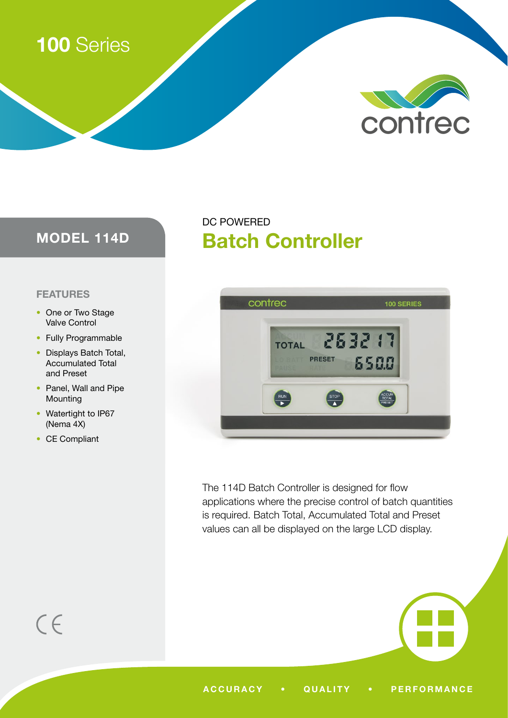# **100** Series



# **MODEL 114D**

# **FEATURES**

- One or Two Stage Valve Control
- Fully Programmable
- Displays Batch Total, Accumulated Total and Preset
- Panel, Wall and Pipe **Mounting**
- Watertight to IP67 (Nema 4X)
- CE Compliant

# **Batch Controller** DC POWERED



The 114D Batch Controller is designed for flow applications where the precise control of batch quantities is required. Batch Total, Accumulated Total and Preset values can all be displayed on the large LCD display.